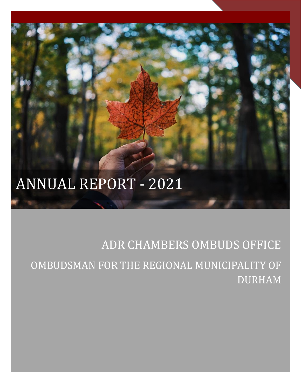# ANNUAL REPORT - 2021

# ADR CHAMBERS OMBUDS OFFICE OMBUDSMAN FOR THE REGIONAL MUNICIPALITY OF DURHAM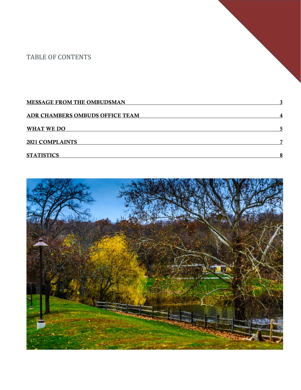### TABLE OF CONTENTS

| <b>MESSAGE FROM THE OMBUDSMAN</b> |   |
|-----------------------------------|---|
| ADR CHAMBERS OMBUDS OFFICE TEAM   |   |
| WHAT WE DO                        |   |
| <b>2021 COMPLAINTS</b>            | - |
| <b>STATISTICS</b>                 |   |

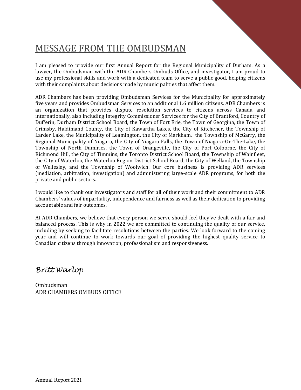# MESSAGE FROM THE OMBUDSMAN

I am pleased to provide our first Annual Report for the Regional Municipality of Durham. As a lawyer, the Ombudsman with the ADR Chambers Ombuds Office, and investigator, I am proud to use my professional skills and work with a dedicated team to serve a public good, helping citizens with their complaints about decisions made by municipalities that affect them.

ADR Chambers has been providing Ombudsman Services for the Municipality for approximately five years and provides Ombudsman Services to an additional 1.6 million citizens. ADR Chambers is an organization that provides dispute resolution services to citizens across Canada and internationally, also including Integrity Commissioner Services for the City of Brantford, Country of Dufferin, Durham District School Board, the Town of Fort Erie, the Town of Georgina, the Town of Grimsby, Haldimand County, the City of Kawartha Lakes, the City of Kitchener, the Township of Larder Lake, the Municipality of Leamington, the City of Markham, the Township of McGarry, the Regional Municipality of Niagara, the City of Niagara Falls, the Town of Niagara-On-The-Lake, the Township of North Dumfries, the Town of Orangeville, the City of Port Colborne, the City of Richmond Hill, the City of Timmins, the Toronto District School Board, the Township of Wainfleet, the City of Waterloo, the Waterloo Region District School Board, the City of Welland, the Township of Wellesley, and the Township of Woolwich. Our core business is providing ADR services (mediation, arbitration, investigation) and administering large-scale ADR programs, for both the private and public sectors.

I would like to thank our investigators and staff for all of their work and their commitment to ADR Chambers' values of impartiality, independence and fairness as well as their dedication to providing accountable and fair outcomes.

At ADR Chambers, we believe that every person we serve should feel they've dealt with a fair and balanced process. This is why in 2022 we are committed to continuing the quality of our service, including by seeking to facilitate resolutions between the parties. We look forward to the coming year and will continue to work towards our goal of providing the highest quality service to Canadian citizens through innovation, professionalism and responsiveness.

*Britt Warlop*

Ombudsman ADR CHAMBERS OMBUDS OFFICE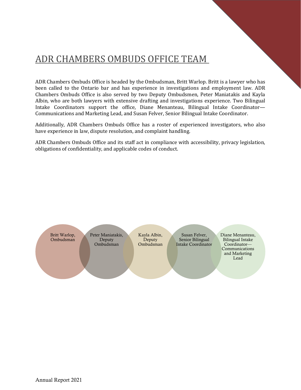# ADR CHAMBERS OMBUDS OFFICE TEAM

ADR Chambers Ombuds Office is headed by the Ombudsman, Britt Warlop. Britt is a lawyer who has been called to the Ontario bar and has experience in investigations and employment law. ADR Chambers Ombuds Office is also served by two Deputy Ombudsmen, Peter Maniatakis and Kayla Albin, who are both lawyers with extensive drafting and investigations experience. Two Bilingual Intake Coordinators support the office, Diane Menanteau, Bilingual Intake Coordinator— Communications and Marketing Lead, and Susan Felver, Senior Bilingual Intake Coordinator.

Additionally, ADR Chambers Ombuds Office has a roster of experienced investigators, who also have experience in law, dispute resolution, and complaint handling.

ADR Chambers Ombuds Office and its staff act in compliance with accessibility, privacy legislation, obligations of confidentiality, and applicable codes of conduct.

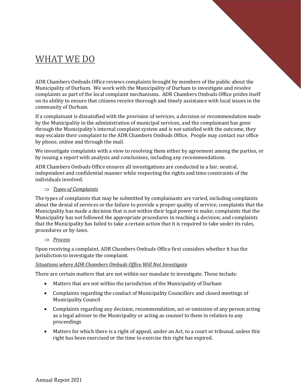# WHAT WE DO

ADR Chambers Ombuds Office reviews complaints brought by members of the public about the Municipality of Durham. We work with the Municipality of Durham to investigate and resolve complaints as part of the local complaint mechanisms. ADR Chambers Ombuds Office prides itself on its ability to ensure that citizens receive thorough and timely assistance with local issues in the community of Durham.

If a complainant is dissatisfied with the provision of services, a decision or recommendation made by the Municipality in the administration of municipal services, and the complainant has gone through the Municipality's internal complaint system and is not satisfied with the outcome, they may escalate their complaint to the ADR Chambers Ombuds Office. People may contact our office by phone, online and through the mail.

We investigate complaints with a view to resolving them either by agreement among the parties, or by issuing a report with analysis and conclusions, including any recommendations.

ADR Chambers Ombuds Office ensures all investigations are conducted in a fair, neutral, independent and confidential manner while respecting the rights and time constraints of the individuals involved.

### *Types of Complaints*

The types of complaints that may be submitted by complainants are varied, including complaints about the denial of services or the failure to provide a proper quality of service; complaints that the Municipality has made a decision that is not within their legal power to make; complaints that the Municipality has not followed the appropriate procedures in reaching a decision; and complaints that the Municipality has failed to take a certain action that it is required to take under its rules, procedures or by-laws.

### *Process*

Upon receiving a complaint, ADR Chambers Ombuds Office first considers whether it has the jurisdiction to investigate the complaint.

### *Situations where ADR Chambers Ombuds Office Will Not Investigate*

There are certain matters that are not within our mandate to investigate. These include:

- Matters that are not within the jurisdiction of the Municipality of Durham
- Complaints regarding the conduct of Municipality Councillors and closed meetings of Municipality Council
- Complaints regarding any decision, recommendation, act or omission of any person acting as a legal adviser to the Municipality or acting as counsel to them in relation to any proceedings
- Matters for which there is a right of appeal, under an Act, to a court or tribunal, unless this right has been exercised or the time to exercise this right has expired.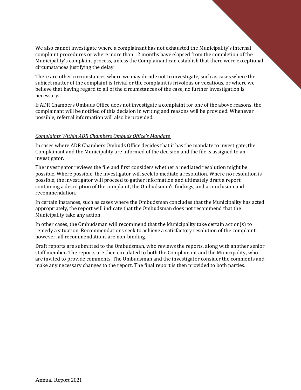We also cannot investigate where a complainant has not exhausted the Municipality's internal complaint procedures or where more than 12 months have elapsed from the completion of the Municipality's complaint process, unless the Complainant can establish that there were exceptional circumstances justifying the delay.

There are other circumstances where we may decide not to investigate, such as cases where the subject matter of the complaint is trivial or the complaint is frivolous or vexatious, or where we believe that having regard to all of the circumstances of the case, no further investigation is necessary.

If ADR Chambers Ombuds Office does not investigate a complaint for one of the above reasons, the complainant will be notified of this decision in writing and reasons will be provided. Whenever possible, referral information will also be provided.

### *Complaints Within ADR Chambers Ombuds Office's Mandate*

In cases where ADR Chambers Ombuds Office decides that it has the mandate to investigate, the Complainant and the Municipality are informed of the decision and the file is assigned to an investigator.

The investigator reviews the file and first considers whether a mediated resolution might be possible. Where possible, the investigator will seek to mediate a resolution. Where no resolution is possible, the investigator will proceed to gather information and ultimately draft a report containing a description of the complaint, the Ombudsman's findings, and a conclusion and recommendation.

In certain instances, such as cases where the Ombudsman concludes that the Municipality has acted appropriately, the report will indicate that the Ombudsman does not recommend that the Municipality take any action.

In other cases, the Ombudsman will recommend that the Municipality take certain action(s) to remedy a situation. Recommendations seek to achieve a satisfactory resolution of the complaint, however, all recommendations are non-binding.

Draft reports are submitted to the Ombudsman, who reviews the reports, along with another senior staff member. The reports are then circulated to both the Complainant and the Municipality, who are invited to provide comments. The Ombudsman and the investigator consider the comments and make any necessary changes to the report. The final report is then provided to both parties.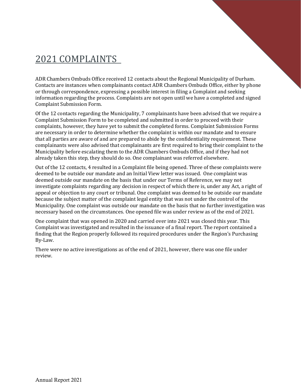# 2021 COMPLAINTS

ADR Chambers Ombuds Office received 12 contacts about the Regional Municipality of Durham. Contacts are instances when complainants contact ADR Chambers Ombuds Office, either by phone or through correspondence, expressing a possible interest in filing a Complaint and seeking information regarding the process. Complaints are not open until we have a completed and signed Complaint Submission Form.

Of the 12 contacts regarding the Municipality, 7 complainants have been advised that we require a Complaint Submission Form to be completed and submitted in order to proceed with their complaints, however, they have yet to submit the completed forms. Complaint Submission Forms are necessary in order to determine whether the complaint is within our mandate and to ensure that all parties are aware of and are prepared to abide by the confidentiality requirement. These complainants were also advised that complainants are first required to bring their complaint to the Municipality before escalating them to the ADR Chambers Ombuds Office, and if they had not already taken this step, they should do so. One complainant was referred elsewhere.

Out of the 12 contacts, 4 resulted in a Complaint file being opened. Three of these complaints were deemed to be outside our mandate and an Initial View letter was issued. One complaint was deemed outside our mandate on the basis that under our Terms of Reference, we may not investigate complaints regarding any decision in respect of which there is, under any Act, a right of appeal or objection to any court or tribunal. One complaint was deemed to be outside our mandate because the subject matter of the complaint legal entity that was not under the control of the Municipality. One complaint was outside our mandate on the basis that no further investigation was necessary based on the circumstances. One opened file was under review as of the end of 2021.

One complaint that was opened in 2020 and carried over into 2021 was closed this year. This Complaint was investigated and resulted in the issuance of a final report. The report contained a finding that the Region properly followed its required procedures under the Region's Purchasing By-Law.

There were no active investigations as of the end of 2021, however, there was one file under review.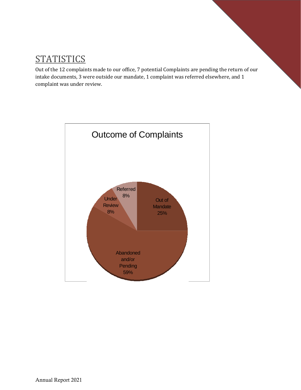# **STATISTICS**

Out of the 12 complaints made to our office, 7 potential Complaints are pending the return of our intake documents, 3 were outside our mandate, 1 complaint was referred elsewhere, and 1 complaint was under review.

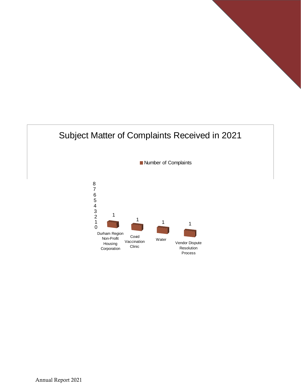